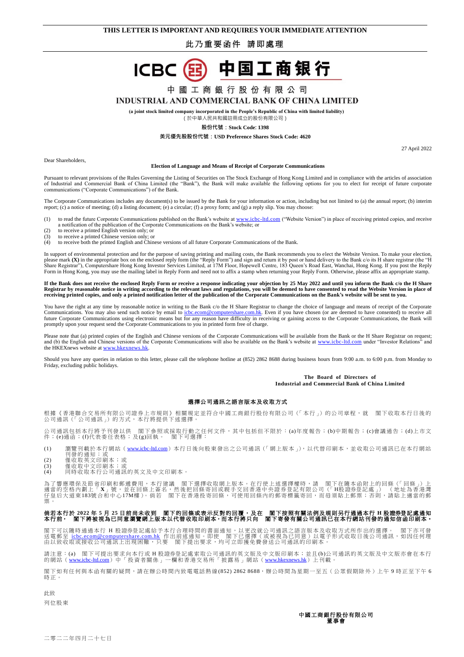## 此乃重要函件 請即處理



# 中 國 工 商 銀 行 股 份 有 限 公 司

### **INDUSTRIAL AND COMMERCIAL BANK OF CHINA LIMITED**

**(a joint stock limited company incorporated in the People's Republic of China with limited liability)**

(於中華人民共和國註冊成立的股份有限公司)

**股份代號:Stock Code: 1398**

#### **美元優先股股份代號:USD Preference Shares Stock Code: 4620**

27 April 2022

Dear Shareholders,

#### **Election of Language and Means of Receipt of Corporate Communications**

Pursuant to relevant provisions of the Rules Governing the Listing of Securities on The Stock Exchange of Hong Kong Limited and in compliance with the articles of association of Industrial and Commercial Bank of China Limited (the "Bank"), the Bank will make available the following options for you to elect for receipt of future corporate communications ("Corporate Communications") of the Bank.

The Corporate Communications includes any document(s) to be issued by the Bank for your information or action, including but not limited to (a) the annual report; (b) interim report; (c) a notice of meeting; (d) a listing document; (e) a circular; (f) a proxy form; and (g) a reply slip. You may choose:

- (1) to read the future Corporate Communications published on the Bank's website a[t www.icbc-ltd.com](http://www.icbc-ltd.com/) ("Website Version") in place of receiving printed copies, and receive a notification of the publication of the Corporate Communications on the Bank's website; or (2) to receive a printed English version only; or
- 
- (3) to receive a printed Chinese version only; or<br>
(4) to receive both the printed English and Chin
- to receive both the printed English and Chinese versions of all future Corporate Communications of the Bank.

In support of environmental protection and for the purpose of saving printing and mailing costs, the Bank recommends you to elect the Website Version. To make your election, please mark (X) in the appropriate box on the enclosed reply form (the "Reply Form") and sign and return it by post or hand delivery to the Bank c/o its H share registrar (the "H<br>Share Registrar"), Computershare Hong Kong

If the Bank does not receive the enclosed Reply Form or receive a response indicating your objection by 25 May 2022 and until you inform the Bank c/o the H Share<br>Registrar by reasonable notice in writing according to the r **receiving printed copies, and only a printed notification letter of the publication of the Corporate Communications on the Bank's website will be sent to you.**

You have the right at any time by reasonable notice in writing to the Bank c/o the H Share Registrar to change the choice of language and means of receipt of the Corporate Communications. You may also send such notice by email to *ichc.ecom@computershare.com.hk*. Even if you have chosen (or are deemed to have consented) to receive all future Corporate Communications using electronic means bu promptly upon your request send the Corporate Communications to you in printed form free of charge.

Please note that (a) printed copies of the English and Chinese versions of the Corporate Communications will be available from the Bank or the H Share Registrar on request; and (b) the English and Chinese versions of the Corporate Communications will also be available on the Bank's website at [www.icbc-ltd.com](http://www.icbc-ltd.com/) under "Investor Relations" and the HKEXnews website at www.hkexnews.hk

Should you have any queries in relation to this letter, please call the telephone hotline at  $(852)$  2862 8688 during business hours from 9:00 a.m. to 6:00 p.m. from Monday to Friday, excluding public holidays.

#### **The Board of Directors of Industrial and Commercial Bank of China Limited**

#### 選擇公司通訊之語言版本及收取方式

根據《香港聯合交易所有限公司證券上市規則》相關規定並符合中國工商銀行股份有限公司(「本行」)的公司章程,就 閣下收取本行日後的<br>公司通訊(「公司通訊」)的方式,本行將提供下述選擇。

公司通訊包括本行將予刊發以供 閣下參照或採取行動之任何文件,其中包括但不限於:(a)年度報告;(b)中期報告;(c)會議通告;(d)上市文<br>件;(e)通函;(f)代表委任表格;及(g)回執。 閣下可選擇:

(1) 瀏覽刊載於本行網站(<u>[www.icbc-ltd.com](http://www.icbc-ltd.com/)</u>)本行日後向股東發出之公司通訊(「網上版本」),以代替印刷本,並收取公司通訊已在本行網站<br>- 刊發的通知;或<br>(2) 僅收取英文印刷本;或<br>(3) 僅收取中文印刷本;或

- 
- 
- (4) 同時收取本行公司通訊的英文及中文印刷本。

為了響應環保及節省印刷和郵遞費用,本行建議 閣下選擇收取網上版本。在行使上述選擇權時,請 閣下在隨本函附上的回條(「回條」)上<br>適當的空格內劃上「X」號,並在回條上簽名,然後把回條寄回或親手交回香港中央證券登記有限公司(「H股證券登記處」)(地址為香港灣<br>仔皇后大道東183號合和中心17M樓)。倘若 閣下在香港投寄回條,可使用回條内的郵寄標籤寄回,而毋須貼上郵票;否則,請貼上適當的郵 票。

# 倘若本行於 2022 年 5 月 25 日前尚未收到 閣下的回條或表示反對的回覆,及在 閣下按照有關法例及規則另行通過本行 H 股證券登記處通知<br>本行前<sup>,</sup> 閣下將被視為已同意瀏覽網上版本以代替收取印刷本<sup>,</sup>而本行將只向 閣下寄發有關公司通訊已在本行網站刊發的通知信函印刷本。

閣下可以隨時通過本行 H 股證券登記處給予本行合理時間的書面通知,以更改就公司通訊之語言版本及收取方式所作出的選擇。 閣下亦可發<br>送電郵至 <u>[icbc.ecom@computershare.com.hk](mailto:icbc.ecom@computershare.com.hk)</u> 作出前述通知。即使 閣下已選擇(或被視為已同意)以電子形式收取日後公司通訊,如因任何理<br>由以致收取或接收公司通訊上出現困難,只要 閣下提出要求,均可立即獲免費發送公司通訊的印刷本。

請注意:(a) 閣下可提出要求向本行或 H 股證券登記處索取公司通訊的英文版及中文版印刷本;並且(b)公司通訊的英文版及中文版亦會在本行<br>的網站(<u>[www.icbc-ltd.com](http://www.icbc-ltd.com/)</u>)中「投資者關係」一欄和香港交易所「披露易」網站(<u>[www.hkexnews.hk](http://www.hkexnews.hk/)</u>)上刊載。

閣下如有任何與本函有關的疑問,請在辦公時間內致電電話熱線(852) 2862 8688,辦公時間為星期一至五(公眾假期除外)上午9時正至下午6 時正。

此致 列位股東